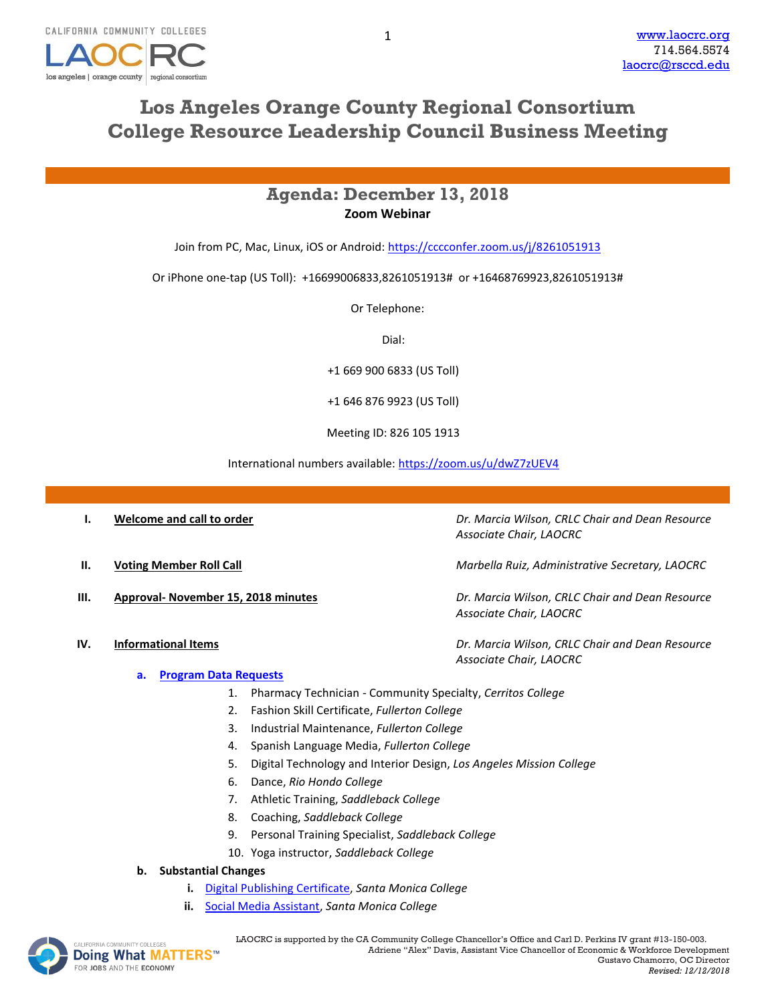

# **Los Angeles Orange County Regional Consortium College Resource Leadership Council Business Meeting**

## **Agenda: December 13, 2018 Zoom Webinar**

Join from PC, Mac, Linux, iOS or Android:<https://cccconfer.zoom.us/j/8261051913>

Or iPhone one-tap (US Toll): +16699006833,8261051913# or +16468769923,8261051913#

Or Telephone:

Dial:

+1 669 900 6833 (US Toll)

+1 646 876 9923 (US Toll)

Meeting ID: 826 105 1913

International numbers available[: https://zoom.us/u/dwZ7zUEV4](https://zoom.us/u/dwZ7zUEV4)

| Dr. Marcia Wilson, CRLC Chair and Dean Resource<br>Associate Chair, LAOCRC |
|----------------------------------------------------------------------------|
| Marbella Ruiz, Administrative Secretary, LAOCRC                            |
| Dr. Marcia Wilson, CRLC Chair and Dean Resource<br>Associate Chair, LAOCRC |
| Dr. Marcia Wilson, CRLC Chair and Dean Resource<br>Associate Chair, LAOCRC |
|                                                                            |

### **a. [Program Data Requests](http://www.laocrc.org/educators/program-approval/program-intents)**

- 1. Pharmacy Technician Community Specialty, *Cerritos College*
- 2. Fashion Skill Certificate, *Fullerton College*
- 3. Industrial Maintenance, *Fullerton College*
- 4. Spanish Language Media, *Fullerton College*
- 5. Digital Technology and Interior Design, *Los Angeles Mission College*
- 6. Dance, *Rio Hondo College*
- 7. Athletic Training, *Saddleback College*
- 8. Coaching, *Saddleback College*
- 9. Personal Training Specialist, *Saddleback College*
- 10. Yoga instructor, *Saddleback College*
- **b. Substantial Changes**
	- **i.** [Digital Publishing Certificate,](https://www.regionalcte.org/browse/3jJo3) *Santa Monica College*
	- **ii.** [Social Media Assistant,](https://www.regionalcte.org/browse/KeJJZ) *Santa Monica College*

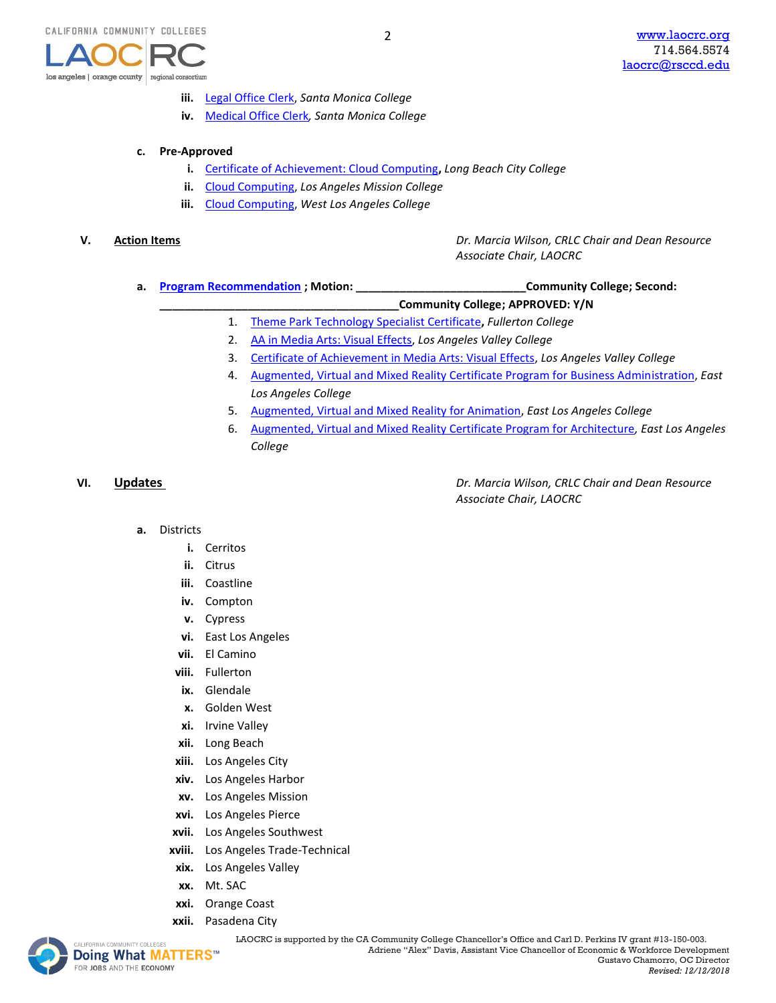

- **iii.** [Legal Office Clerk,](https://www.regionalcte.org/browse/3NLmZ) *Santa Monica College*
- **iv.** [Medical Office Clerk](https://www.regionalcte.org/browse/4pyM3)*, Santa Monica College*

### **c. Pre-Approved**

- **i.** [Certificate of Achievement: Cloud Computing](https://www.regionalcte.org/browse/K7RE3)**,** *Long Beach City College*
- **ii.** [Cloud Computing,](https://www.regionalcte.org/browse/4B7q3) *Los Angeles Mission College*
- **iii.** [Cloud Computing,](https://www.regionalcte.org/browse/Kvy23) *West Los Angeles College*

**V. Action Items** *Dr. Marcia Wilson, CRLC Chair and Dean Resource Associate Chair, LAOCRC*

**a. [Program Recommendation](https://www.regionalcte.org/browse?region=4&status=4&search=&submit=) ; Motion: \_\_\_\_\_\_\_\_\_\_\_\_\_\_\_\_\_\_\_\_\_\_\_\_\_\_\_Community College; Second:** 

**\_\_\_\_\_\_\_\_\_\_\_\_\_\_\_\_\_\_\_\_\_\_\_\_\_\_\_\_\_\_\_\_\_\_\_\_\_\_Community College; APPROVED: Y/N**

- 1. [Theme Park Technology Specialist Certificate](https://www.regionalcte.org/browse/38YQK)**,** *Fullerton College*
- 2. [AA in Media Arts: Visual Effects,](https://www.regionalcte.org/browse/ZbJNZ) *Los Angeles Valley College*
- 3. [Certificate of Achievement in Media Arts: Visual Effects,](https://www.regionalcte.org/browse/3WP0K) *Los Angeles Valley College*
- 4. [Augmented, Virtual and Mixed Reality Certificate Program for Business Administration,](https://www.regionalcte.org/browse/3OGa3) *East Los Angeles College*
- 5. [Augmented, Virtual and Mixed Reality for Animation,](https://www.regionalcte.org/browse/4ERv3) *East Los Angeles College*
- 6. [Augmented, Virtual and Mixed Reality Certificate Program for Architecture](https://www.regionalcte.org/browse/KVogZ)*, East Los Angeles College*

**VI. Updates** *Dr. Marcia Wilson, CRLC Chair and Dean Resource Associate Chair, LAOCRC*

- **a.** Districts
	- **i.** Cerritos
	- **ii.** Citrus
	- **iii.** Coastline
	- **iv.** Compton
	- **v.** Cypress
	- **vi.** East Los Angeles
	- **vii.** El Camino
	- **viii.** Fullerton
	- **ix.** Glendale
	- **x.** Golden West
	- **xi.** Irvine Valley
	- **xii.** Long Beach
	- **xiii.** Los Angeles City
	- **xiv.** Los Angeles Harbor
	- **xv.** Los Angeles Mission
	- **xvi.** Los Angeles Pierce
	- **xvii.** Los Angeles Southwest
	- **xviii.** Los Angeles Trade-Technical
	- **xix.** Los Angeles Valley
	- **xx.** Mt. SAC
	- **xxi.** Orange Coast
	- **xxii.** Pasadena City